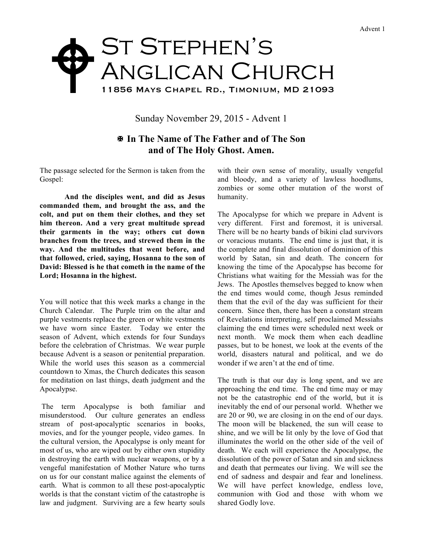## St Stephen's ANGLICAN CHURCH 11856 Mays Chapel Rd., Timonium, MD 21093  $\blacklozenge$

Sunday November 29, 2015 - Advent 1

X **In The Name of The Father and of The Son and of The Holy Ghost. Amen.** 

The passage selected for the Sermon is taken from the Gospel:

**And the disciples went, and did as Jesus commanded them, and brought the ass, and the colt, and put on them their clothes, and they set him thereon. And a very great multitude spread their garments in the way; others cut down branches from the trees, and strewed them in the way. And the multitudes that went before, and that followed, cried, saying, Hosanna to the son of David: Blessed is he that cometh in the name of the Lord; Hosanna in the highest.**

You will notice that this week marks a change in the Church Calendar. The Purple trim on the altar and purple vestments replace the green or white vestments we have worn since Easter. Today we enter the season of Advent, which extends for four Sundays before the celebration of Christmas. We wear purple because Advent is a season or penitential preparation. While the world uses this season as a commercial countdown to Xmas, the Church dedicates this season for meditation on last things, death judgment and the Apocalypse.

The term Apocalypse is both familiar and misunderstood. Our culture generates an endless stream of post-apocalyptic scenarios in books, movies, and for the younger people, video games. In the cultural version, the Apocalypse is only meant for most of us, who are wiped out by either own stupidity in destroying the earth with nuclear weapons, or by a vengeful manifestation of Mother Nature who turns on us for our constant malice against the elements of earth. What is common to all these post-apocalyptic worlds is that the constant victim of the catastrophe is law and judgment. Surviving are a few hearty souls

with their own sense of morality, usually vengeful and bloody, and a variety of lawless hoodlums, zombies or some other mutation of the worst of humanity.

The Apocalypse for which we prepare in Advent is very different. First and foremost, it is universal. There will be no hearty bands of bikini clad survivors or voracious mutants. The end time is just that, it is the complete and final dissolution of dominion of this world by Satan, sin and death. The concern for knowing the time of the Apocalypse has become for Christians what waiting for the Messiah was for the Jews. The Apostles themselves begged to know when the end times would come, though Jesus reminded them that the evil of the day was sufficient for their concern. Since then, there has been a constant stream of Revelations interpreting, self proclaimed Messiahs claiming the end times were scheduled next week or next month. We mock them when each deadline passes, but to be honest, we look at the events of the world, disasters natural and political, and we do wonder if we aren't at the end of time.

The truth is that our day is long spent, and we are approaching the end time. The end time may or may not be the catastrophic end of the world, but it is inevitably the end of our personal world. Whether we are 20 or 90, we are closing in on the end of our days. The moon will be blackened, the sun will cease to shine, and we will be lit only by the love of God that illuminates the world on the other side of the veil of death. We each will experience the Apocalypse, the dissolution of the power of Satan and sin and sickness and death that permeates our living. We will see the end of sadness and despair and fear and loneliness. We will have perfect knowledge, endless love, communion with God and those with whom we shared Godly love.